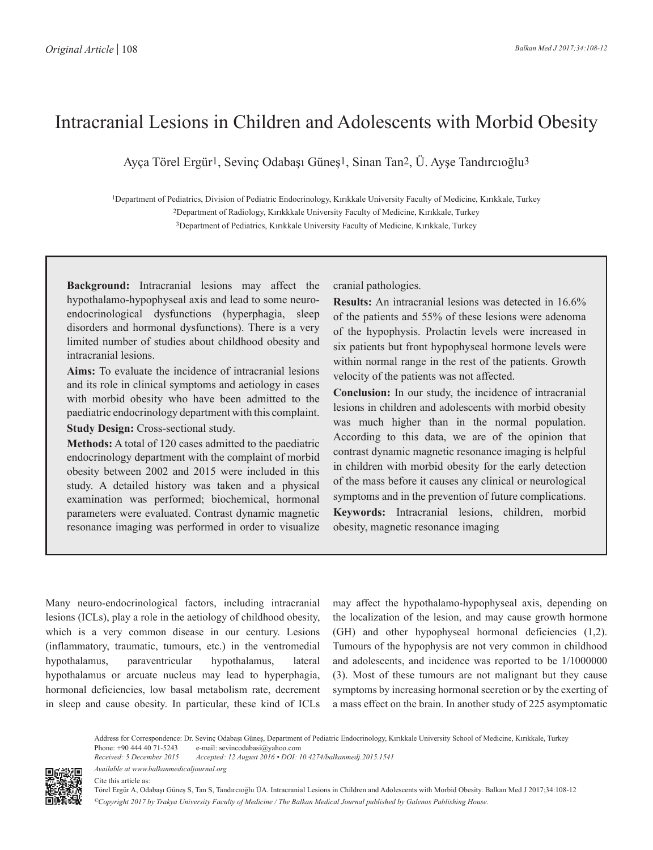# Intracranial Lesions in Children and Adolescents with Morbid Obesity

Ayça Törel Ergür1, Sevinç Odabaşı Güneş1, Sinan Tan2, Ü. Ayşe Tandırcıoğlu3

1Department of Pediatrics, Division of Pediatric Endocrinology, Kırıkkale University Faculty of Medicine, Kırıkkale, Turkey 2Department of Radiology, Kırıkkkale University Faculty of Medicine, Kırıkkale, Turkey 3Department of Pediatrics, Kırıkkale University Faculty of Medicine, Kırıkkale, Turkey

**Background:** Intracranial lesions may affect the hypothalamo-hypophyseal axis and lead to some neuroendocrinological dysfunctions (hyperphagia, sleep disorders and hormonal dysfunctions). There is a very limited number of studies about childhood obesity and intracranial lesions.

**Aims:** To evaluate the incidence of intracranial lesions and its role in clinical symptoms and aetiology in cases with morbid obesity who have been admitted to the paediatric endocrinology department with this complaint. **Study Design:** Cross-sectional study.

**Methods:** A total of 120 cases admitted to the paediatric endocrinology department with the complaint of morbid obesity between 2002 and 2015 were included in this study. A detailed history was taken and a physical examination was performed; biochemical, hormonal parameters were evaluated. Contrast dynamic magnetic resonance imaging was performed in order to visualize

cranial pathologies.

**Results:** An intracranial lesions was detected in 16.6% of the patients and 55% of these lesions were adenoma of the hypophysis. Prolactin levels were increased in six patients but front hypophyseal hormone levels were within normal range in the rest of the patients. Growth velocity of the patients was not affected.

**Conclusion:** In our study, the incidence of intracranial lesions in children and adolescents with morbid obesity was much higher than in the normal population. According to this data, we are of the opinion that contrast dynamic magnetic resonance imaging is helpful in children with morbid obesity for the early detection of the mass before it causes any clinical or neurological symptoms and in the prevention of future complications. **Keywords:** Intracranial lesions, children, morbid obesity, magnetic resonance imaging

Many neuro-endocrinological factors, including intracranial lesions (ICLs), play a role in the aetiology of childhood obesity, which is a very common disease in our century. Lesions (inflammatory, traumatic, tumours, etc.) in the ventromedial hypothalamus, paraventricular hypothalamus, lateral hypothalamus or arcuate nucleus may lead to hyperphagia, hormonal deficiencies, low basal metabolism rate, decrement in sleep and cause obesity. In particular, these kind of ICLs

*Available at www.balkanmedicaljournal.org*

may affect the hypothalamo-hypophyseal axis, depending on the localization of the lesion, and may cause growth hormone (GH) and other hypophyseal hormonal deficiencies (1,2). Tumours of the hypophysis are not very common in childhood and adolescents, and incidence was reported to be 1/1000000 (3). Most of these tumours are not malignant but they cause symptoms by increasing hormonal secretion or by the exerting of a mass effect on the brain. In another study of 225 asymptomatic

Address for Correspondence: Dr. Sevinç Odabaşı Güneş, Department of Pediatric Endocrinology, Kırıkkale University School of Medicine, Kırıkkale, Turkey<br>Phone: +90 444 40 71-5243 e-mail: sevincodabasi@yahoo.com Phone: +90 444 40 71-5243 e-mail: sevincodabasi@yahoo.com<br>Received: 5 December 2015 Accepted: 12 August 2016 • DOI: 1 *Received: 5 December 2015 Accepted: 12 August 2016 • DOI: 10.4274/balkanmedj.2015.1541*

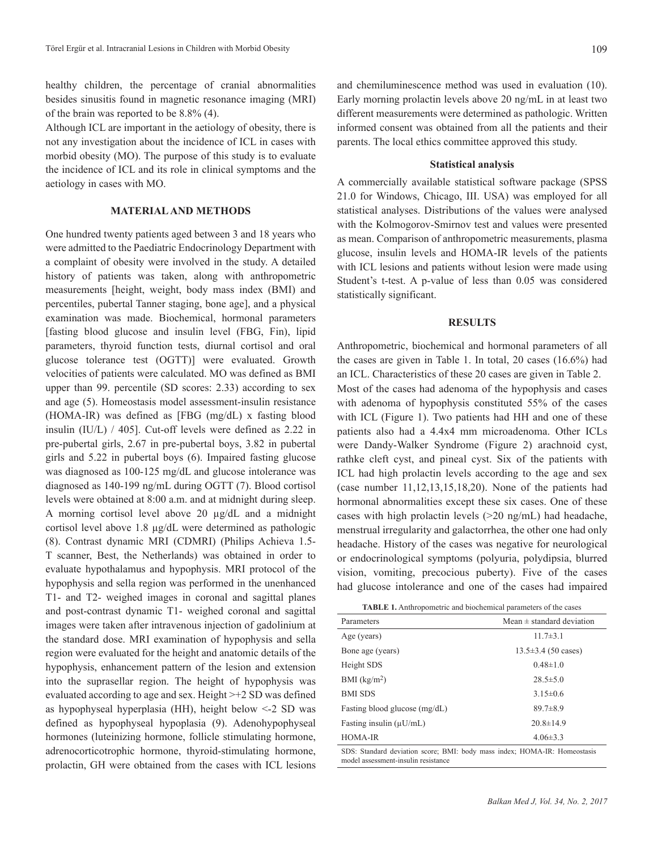healthy children, the percentage of cranial abnormalities besides sinusitis found in magnetic resonance imaging (MRI) of the brain was reported to be 8.8% (4).

Although ICL are important in the aetiology of obesity, there is not any investigation about the incidence of ICL in cases with morbid obesity (MO). The purpose of this study is to evaluate the incidence of ICL and its role in clinical symptoms and the aetiology in cases with MO.

## **MATERIAL AND METHODS**

One hundred twenty patients aged between 3 and 18 years who were admitted to the Paediatric Endocrinology Department with a complaint of obesity were involved in the study. A detailed history of patients was taken, along with anthropometric measurements [height, weight, body mass index (BMI) and percentiles, pubertal Tanner staging, bone age], and a physical examination was made. Biochemical, hormonal parameters [fasting blood glucose and insulin level (FBG, Fin), lipid parameters, thyroid function tests, diurnal cortisol and oral glucose tolerance test (OGTT)] were evaluated. Growth velocities of patients were calculated. MO was defined as BMI upper than 99. percentile (SD scores: 2.33) according to sex and age (5). Homeostasis model assessment-insulin resistance (HOMA-IR) was defined as [FBG (mg/dL) x fasting blood insulin (IU/L) / 405]. Cut-off levels were defined as 2.22 in pre-pubertal girls, 2.67 in pre-pubertal boys, 3.82 in pubertal girls and 5.22 in pubertal boys (6). Impaired fasting glucose was diagnosed as 100-125 mg/dL and glucose intolerance was diagnosed as 140-199 ng/mL during OGTT (7). Blood cortisol levels were obtained at 8:00 a.m. and at midnight during sleep. A morning cortisol level above 20 µg/dL and a midnight cortisol level above 1.8 µg/dL were determined as pathologic (8). Contrast dynamic MRI (CDMRI) (Philips Achieva 1.5- T scanner, Best, the Netherlands) was obtained in order to evaluate hypothalamus and hypophysis. MRI protocol of the hypophysis and sella region was performed in the unenhanced T1- and T2- weighed images in coronal and sagittal planes and post-contrast dynamic T1- weighed coronal and sagittal images were taken after intravenous injection of gadolinium at the standard dose. MRI examination of hypophysis and sella region were evaluated for the height and anatomic details of the hypophysis, enhancement pattern of the lesion and extension into the suprasellar region. The height of hypophysis was evaluated according to age and sex. Height >+2 SD was defined as hypophyseal hyperplasia (HH), height below <-2 SD was defined as hypophyseal hypoplasia (9). Adenohypophyseal hormones (luteinizing hormone, follicle stimulating hormone, adrenocorticotrophic hormone, thyroid-stimulating hormone, prolactin, GH were obtained from the cases with ICL lesions

and chemiluminescence method was used in evaluation (10). Early morning prolactin levels above 20 ng/mL in at least two different measurements were determined as pathologic. Written informed consent was obtained from all the patients and their parents. The local ethics committee approved this study.

### **Statistical analysis**

A commercially available statistical software package (SPSS 21.0 for Windows, Chicago, III. USA) was employed for all statistical analyses. Distributions of the values were analysed with the Kolmogorov-Smirnov test and values were presented as mean. Comparison of anthropometric measurements, plasma glucose, insulin levels and HOMA-IR levels of the patients with ICL lesions and patients without lesion were made using Student's t-test. A p-value of less than 0.05 was considered statistically significant.

#### **RESULTS**

Anthropometric, biochemical and hormonal parameters of all the cases are given in Table 1. In total, 20 cases (16.6%) had an ICL. Characteristics of these 20 cases are given in Table 2. Most of the cases had adenoma of the hypophysis and cases with adenoma of hypophysis constituted 55% of the cases with ICL (Figure 1). Two patients had HH and one of these patients also had a 4.4x4 mm microadenoma. Other ICLs were Dandy-Walker Syndrome (Figure 2) arachnoid cyst, rathke cleft cyst, and pineal cyst. Six of the patients with ICL had high prolactin levels according to the age and sex (case number 11,12,13,15,18,20). None of the patients had hormonal abnormalities except these six cases. One of these cases with high prolactin levels (>20 ng/mL) had headache, menstrual irregularity and galactorrhea, the other one had only headache. History of the cases was negative for neurological or endocrinological symptoms (polyuria, polydipsia, blurred vision, vomiting, precocious puberty). Five of the cases had glucose intolerance and one of the cases had impaired

| <b>TABLE 1.</b> Anthropometric and biochemical parameters of the cases |  |
|------------------------------------------------------------------------|--|
|------------------------------------------------------------------------|--|

| Mean $\pm$ standard deviation<br>Parameters                               |                           |  |  |  |
|---------------------------------------------------------------------------|---------------------------|--|--|--|
| Age (years)                                                               | $11.7\pm3.1$              |  |  |  |
| Bone age (years)                                                          | $13.5 \pm 3.4$ (50 cases) |  |  |  |
| Height SDS                                                                | $0.48 \pm 1.0$            |  |  |  |
| $BMI$ (kg/m <sup>2</sup> )                                                | $28.5 \pm 5.0$            |  |  |  |
| <b>BMI SDS</b>                                                            | $3.15\pm0.6$              |  |  |  |
| Fasting blood glucose (mg/dL)                                             | $89.7 \pm 8.9$            |  |  |  |
| Fasting insulin $(\mu U/mL)$                                              | $20.8 \pm 14.9$           |  |  |  |
| <b>HOMA-IR</b>                                                            | $4.06 \pm 3.3$            |  |  |  |
| SDS: Standard deviation score; BMI: body mass index; HOMA-IR: Homeostasis |                           |  |  |  |

model assessment-insulin resistance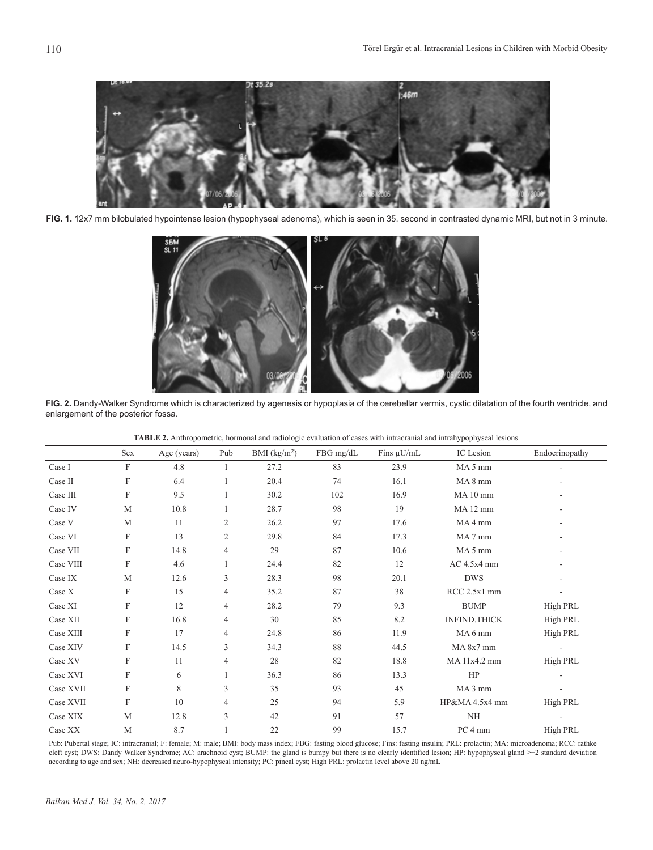

**FIG. 1.** 12x7 mm bilobulated hypointense lesion (hypophyseal adenoma), which is seen in 35. second in contrasted dynamic MRI, but not in 3 minute.



**FIG. 2.** Dandy-Walker Syndrome which is characterized by agenesis or hypoplasia of the cerebellar vermis, cystic dilatation of the fourth ventricle, and enlargement of the posterior fossa.

|                 | Sex          | Age (years) | Pub | $BMI$ (kg/m <sup>2</sup> ) | FBG mg/dL | Fins $\mu$ U/mL | IC Lesion          | Endocrinopathy  |
|-----------------|--------------|-------------|-----|----------------------------|-----------|-----------------|--------------------|-----------------|
| Case I          | $\mathbf{F}$ | 4.8         |     | 27.2                       | 83        | 23.9            | MA <sub>5</sub> mm |                 |
| Case II         | F            | 6.4         |     | 20.4                       | 74        | 16.1            | MA <sub>8</sub> mm |                 |
| Case III        | F            | 9.5         |     | 30.2                       | 102       | 16.9            | MA10 mm            |                 |
| Case IV         | M            | 10.8        |     | 28.7                       | 98        | 19              | MA12 mm            |                 |
| Case V          | M            | 11          | 2   | 26.2                       | 97        | 17.6            | MA4 mm             |                 |
| Case VI         | F            | 13          | 2   | 29.8                       | 84        | 17.3            | MA7 mm             |                 |
| $\rm Case~ VII$ | F            | 14.8        | 4   | 29                         | 87        | 10.6            | MA <sub>5</sub> mm |                 |
| Case VIII       | F            | 4.6         |     | 24.4                       | 82        | 12              | AC 4.5x4 mm        |                 |
| Case IX         | $\mathbf M$  | 12.6        | 3   | 28.3                       | 98        | 20.1            | <b>DWS</b>         |                 |
| Case X          | F            | 15          | 4   | 35.2                       | 87        | 38              | RCC 2.5x1 mm       |                 |
| Case XI         | F            | 12          | 4   | 28.2                       | 79        | 9.3             | <b>BUMP</b>        | High PRL        |
| Case XII        | F            | 16.8        | 4   | 30                         | 85        | 8.2             | INFIND.THICK       | High PRL        |
| Case XIII       | F            | 17          | 4   | 24.8                       | 86        | 11.9            | MA6 mm             | <b>High PRL</b> |
| Case XIV        | F            | 14.5        | 3   | 34.3                       | 88        | 44.5            | MA 8x7 mm          |                 |
| Case XV         | F            | 11          | 4   | 28                         | 82        | 18.8            | MA 11x4.2 mm       | High PRL        |
| Case XVI        | F            | 6           |     | 36.3                       | 86        | 13.3            | HP                 |                 |
| Case XVII       | F            | 8           | 3   | 35                         | 93        | 45              | MA <sub>3</sub> mm |                 |
| Case XVII       | F            | 10          | 4   | 25                         | 94        | 5.9             | HP&MA 4.5x4 mm     | High PRL        |
| Case XIX        | M            | 12.8        | 3   | 42                         | 91        | 57              | NH                 |                 |
| Case XX         | M            | 8.7         |     | 22                         | 99        | 15.7            | PC 4 mm            | <b>High PRL</b> |

|  | <b>TABLE 2.</b> Anthropometric, hormonal and radiologic evaluation of cases with intracranial and intrahypophyseal lesions |  |
|--|----------------------------------------------------------------------------------------------------------------------------|--|
|  |                                                                                                                            |  |

Pub: Pubertal stage; IC: intracranial; F: female; M: male; BMI: body mass index; FBG: fasting blood glucose; Fins: fasting insulin; PRL: prolactin; MA: microadenoma; RCC: rathke cleft cyst; DWS: Dandy Walker Syndrome; AC: arachnoid cyst; BUMP: the gland is bumpy but there is no clearly identified lesion; HP: hypophyseal gland >+2 standard deviation according to age and sex; NH: decreased neuro-hypophyseal intensity; PC: pineal cyst; High PRL: prolactin level above 20 ng/mL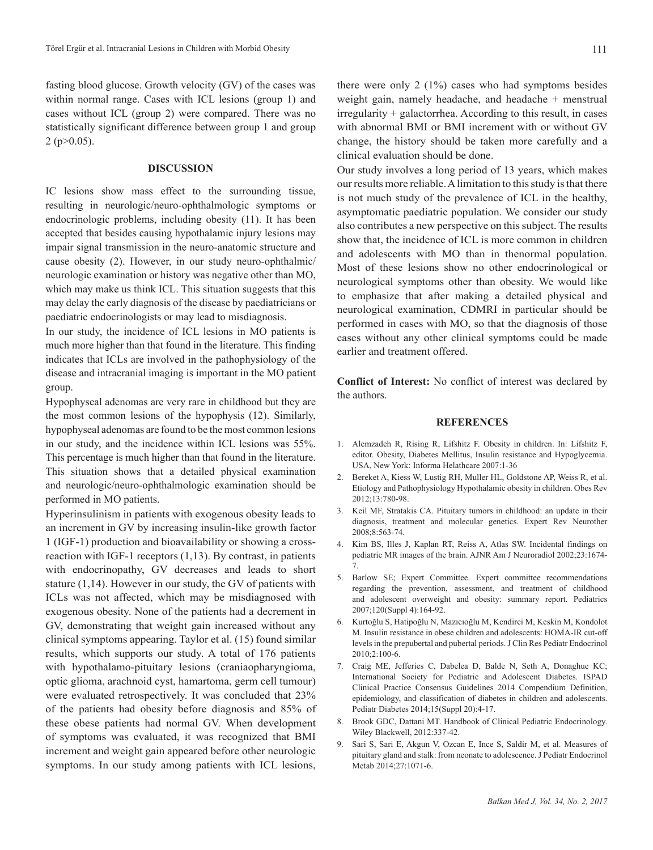fasting blood glucose. Growth velocity (GV) of the cases was within normal range. Cases with ICL lesions (group 1) and cases without ICL (group 2) were compared. There was no statistically significant difference between group 1 and group  $2$  (p $>0.05$ ).

## **DISCUSSION**

IC lesions show mass effect to the surrounding tissue, resulting in neurologic/neuro-ophthalmologic symptoms or endocrinologic problems, including obesity (11). It has been accepted that besides causing hypothalamic injury lesions may impair signal transmission in the neuro-anatomic structure and cause obesity (2). However, in our study neuro-ophthalmic/ neurologic examination or history was negative other than MO, which may make us think ICL. This situation suggests that this may delay the early diagnosis of the disease by paediatricians or paediatric endocrinologists or may lead to misdiagnosis.

In our study, the incidence of ICL lesions in MO patients is much more higher than that found in the literature. This finding indicates that ICLs are involved in the pathophysiology of the disease and intracranial imaging is important in the MO patient group.

Hypophyseal adenomas are very rare in childhood but they are the most common lesions of the hypophysis (12). Similarly, hypophyseal adenomas are found to be the most common lesions in our study, and the incidence within ICL lesions was 55%. This percentage is much higher than that found in the literature. This situation shows that a detailed physical examination and neurologic/neuro-ophthalmologic examination should be performed in MO patients.

Hyperinsulinism in patients with exogenous obesity leads to an increment in GV by increasing insulin-like growth factor 1 (IGF-1) production and bioavailability or showing a crossreaction with IGF-1 receptors  $(1,13)$ . By contrast, in patients with endocrinopathy, GV decreases and leads to short stature (1,14). However in our study, the GV of patients with ICLs was not affected, which may be misdiagnosed with exogenous obesity. None of the patients had a decrement in GV, demonstrating that weight gain increased without any clinical symptoms appearing. Taylor et al. (15) found similar results, which supports our study. A total of 176 patients with hypothalamo-pituitary lesions (craniaopharyngioma, optic glioma, arachnoid cyst, hamartoma, germ cell tumour) were evaluated retrospectively. It was concluded that 23% of the patients had obesity before diagnosis and 85% of these obese patients had normal GV. When development of symptoms was evaluated, it was recognized that BMI increment and weight gain appeared before other neurologic symptoms. In our study among patients with ICL lesions,

there were only  $2(1\%)$  cases who had symptoms besides weight gain, namely headache, and headache + menstrual irregularity + galactorrhea. According to this result, in cases with abnormal BMI or BMI increment with or without GV change, the history should be taken more carefully and a clinical evaluation should be done.

Our study involves a long period of 13 years, which makes our results more reliable. A limitation to this study is that there is not much study of the prevalence of ICL in the healthy, asymptomatic paediatric population. We consider our study also contributes a new perspective on this subject. The results show that, the incidence of ICL is more common in children and adolescents with MO than in thenormal population. Most of these lesions show no other endocrinological or neurological symptoms other than obesity. We would like to emphasize that after making a detailed physical and neurological examination, CDMRI in particular should be performed in cases with MO, so that the diagnosis of those cases without any other clinical symptoms could be made earlier and treatment offered.

**Conflict of Interest:** No conflict of interest was declared by the authors.

## **REFERENCES**

- 1. Alemzadeh R, Rising R, Lifshitz F. Obesity in children. In: Lifshitz F, editor. Obesity, Diabetes Mellitus, Insulin resistance and Hypoglycemia. USA, New York: Informa Helathcare 2007:1-36
- 2. Bereket A, Kiess W, Lustig RH, Muller HL, Goldstone AP, Weiss R, et al. Etiology and Pathophysiology Hypothalamic obesity in children. Obes Rev 2012;13:780-98.
- 3. Keil MF, Stratakis CA. Pituitary tumors in childhood: an update in their diagnosis, treatment and molecular genetics. Expert Rev Neurother 2008;8:563-74.
- 4. Kim BS, Illes J, Kaplan RT, Reiss A, Atlas SW. Incidental findings on pediatric MR images of the brain. AJNR Am J Neuroradiol 2002;23:1674- 7.
- 5. Barlow SE; Expert Committee. Expert committee recommendations regarding the prevention, assessment, and treatment of childhood and adolescent overweight and obesity: summary report. Pediatrics 2007;120(Suppl 4):164-92.
- 6. Kurtoğlu S, Hatipoğlu N, Mazıcıoğlu M, Kendirci M, Keskin M, Kondolot M. Insulin resistance in obese children and adolescents: HOMA-IR cut-off levels in the prepubertal and pubertal periods. J Clin Res Pediatr Endocrinol 2010;2:100-6.
- 7. Craig ME, Jefferies C, Dabelea D, Balde N, Seth A, Donaghue KC; International Society for Pediatric and Adolescent Diabetes. ISPAD Clinical Practice Consensus Guidelines 2014 Compendium Definition, epidemiology, and classification of diabetes in children and adolescents. Pediatr Diabetes 2014;15(Suppl 20):4-17.
- 8. Brook GDC, Dattani MT. Handbook of Clinical Pediatric Endocrinology. Wiley Blackwell, 2012:337-42.
- 9. Sari S, Sari E, Akgun V, Ozcan E, Ince S, Saldir M, et al. Measures of pituitary gland and stalk: from neonate to adolescence. J Pediatr Endocrinol Metab 2014;27:1071-6.